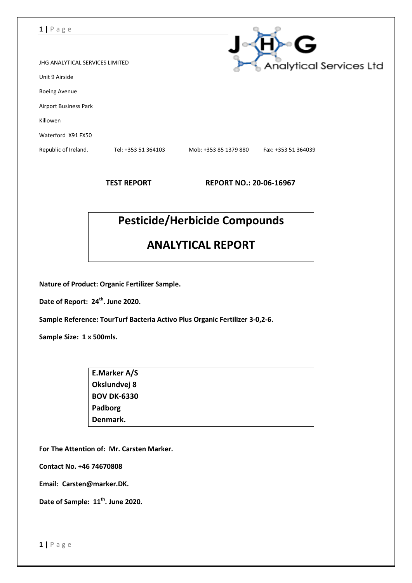| $1   P \text{age}$              |                     |                       |                                |
|---------------------------------|---------------------|-----------------------|--------------------------------|
|                                 |                     |                       | G                              |
| JHG ANALYTICAL SERVICES LIMITED |                     |                       | <b>Analytical Services Ltd</b> |
| Unit 9 Airside                  |                     |                       |                                |
| <b>Boeing Avenue</b>            |                     |                       |                                |
| Airport Business Park           |                     |                       |                                |
| Killowen                        |                     |                       |                                |
| Waterford X91 FX50              |                     |                       |                                |
| Republic of Ireland.            | Tel: +353 51 364103 | Mob: +353 85 1379 880 | Fax: +353 51 364039            |
|                                 |                     |                       |                                |

**TEST REPORT REPORT NO.: 20-06-16967**

# **Pesticide/Herbicide Compounds**

## **ANALYTICAL REPORT**

**Nature of Product: Organic Fertilizer Sample.**

**Date of Report: 24 th . June 2020.**

**Sample Reference: TourTurf Bacteria Activo Plus Organic Fertilizer 3-0,2-6.**

**Sample Size: 1 x 500mls.**

| E.Marker A/S       |  |
|--------------------|--|
| Okslundvej 8       |  |
| <b>BOV DK-6330</b> |  |
| Padborg            |  |
| Denmark.           |  |

**For The Attention of: Mr. Carsten Marker.**

**Contact No. +46 74670808**

**Email: Carsten@marker.DK.**

**Date of Sample: 11 th . June 2020.**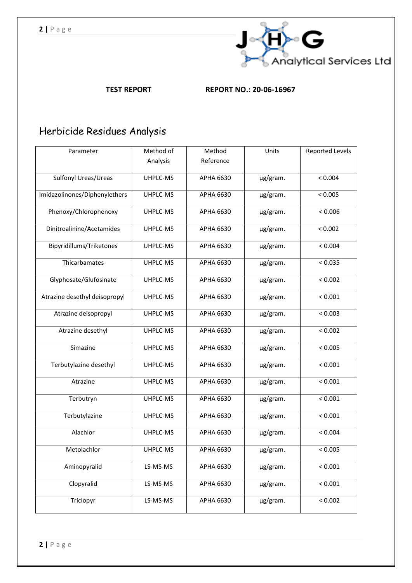

**TEST REPORT REPORT NO.: 20-06-16967**

# Herbicide Residues Analysis

| Parameter                     | Method of | Method           | Units    | <b>Reported Levels</b> |
|-------------------------------|-----------|------------------|----------|------------------------|
|                               | Analysis  | Reference        |          |                        |
| Sulfonyl Ureas/Ureas          | UHPLC-MS  | APHA 6630        | µg/gram. | < 0.004                |
| Imidazolinones/Diphenylethers | UHPLC-MS  | APHA 6630        | µg/gram. | < 0.005                |
| Phenoxy/Chlorophenoxy         | UHPLC-MS  | APHA 6630        | µg/gram. | < 0.006                |
| Dinitroalinine/Acetamides     | UHPLC-MS  | APHA 6630        | µg/gram. | < 0.002                |
| Bipyridillums/Triketones      | UHPLC-MS  | APHA 6630        | µg/gram. | < 0.004                |
| Thicarbamates                 | UHPLC-MS  | APHA 6630        | µg/gram. | < 0.035                |
| Glyphosate/Glufosinate        | UHPLC-MS  | APHA 6630        | µg/gram. | < 0.002                |
| Atrazine desethyl deisopropyl | UHPLC-MS  | APHA 6630        | µg/gram. | < 0.001                |
| Atrazine deisopropyl          | UHPLC-MS  | APHA 6630        | µg/gram. | < 0.003                |
| Atrazine desethyl             | UHPLC-MS  | APHA 6630        | µg/gram. | < 0.002                |
| Simazine                      | UHPLC-MS  | APHA 6630        | µg/gram. | < 0.005                |
| Terbutylazine desethyl        | UHPLC-MS  | APHA 6630        | µg/gram. | < 0.001                |
| Atrazine                      | UHPLC-MS  | APHA 6630        | µg/gram. | < 0.001                |
| Terbutryn                     | UHPLC-MS  | <b>APHA 6630</b> | µg/gram. | < 0.001                |
| Terbutylazine                 | UHPLC-MS  | <b>APHA 6630</b> | µg/gram. | < 0.001                |
| Alachlor                      | UHPLC-MS  | APHA 6630        | µg/gram. | < 0.004                |
| Metolachlor                   | UHPLC-MS  | APHA 6630        | µg/gram. | < 0.005                |
| Aminopyralid                  | LS-MS-MS  | APHA 6630        | µg/gram. | < 0.001                |
| Clopyralid                    | LS-MS-MS  | <b>APHA 6630</b> | µg/gram. | < 0.001                |
| Triclopyr                     | LS-MS-MS  | APHA 6630        | µg/gram. | < 0.002                |